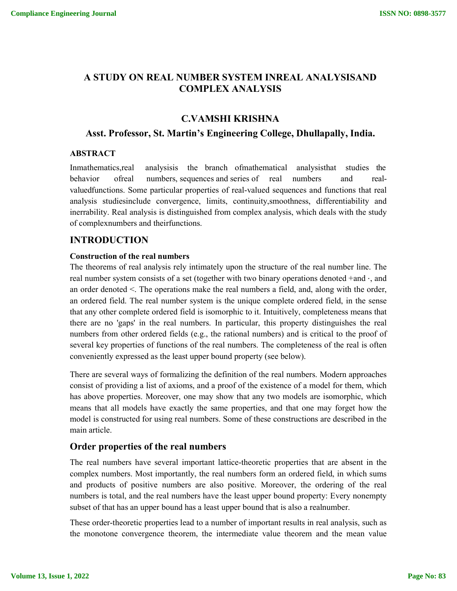# **A STUDY ON REAL NUMBER SYSTEM INREAL ANALYSISAND COMPLEX ANALYSIS**

# **C.VAMSHI KRISHNA**

# **Asst. Professor, St. Martin's Engineering College, Dhullapally, India.**

# **ABSTRACT**

Inmathematics,real analysisis the branch ofmathematical analysisthat studies the behavior ofreal numbers, sequences and series of real numbers and realvaluedfunctions. Some particular properties of real-valued sequences and functions that real analysis studiesinclude convergence, limits, continuity,smoothness, differentiability and inerrability. Real analysis is distinguished from complex analysis, which deals with the study of complexnumbers and theirfunctions.

# **INTRODUCTION**

### **Construction of the real numbers**

The theorems of real analysis rely intimately upon the structure of the real number line. The real number system consists of a set (together with two binary operations denoted +and ⋅, and an order denoted <. The operations make the real numbers a field, and, along with the order, an ordered field. The real number system is the unique complete ordered field, in the sense that any other complete ordered field is isomorphic to it. Intuitively, completeness means that there are no 'gaps' in the real numbers. In particular, this property distinguishes the real numbers from other ordered fields (e.g., the rational numbers) and is critical to the proof of several key properties of functions of the real numbers. The completeness of the real is often conveniently expressed as the least upper bound property (see below).

There are several ways of formalizing the definition of the real numbers. Modern approaches consist of providing a list of axioms, and a proof of the existence of a model for them, which has above properties. Moreover, one may show that any two models are isomorphic, which means that all models have exactly the same properties, and that one may forget how the model is constructed for using real numbers. Some of these constructions are described in the main article.

# **Order properties of the real numbers**

The real numbers have several important lattice-theoretic properties that are absent in the complex numbers. Most importantly, the real numbers form an ordered field, in which sums and products of positive numbers are also positive. Moreover, the ordering of the real numbers is total, and the real numbers have the least upper bound property: Every nonempty subset of that has an upper bound has a least upper bound that is also a realnumber.

These order-theoretic properties lead to a number of important results in real analysis, such as the monotone convergence theorem, the intermediate value theorem and the mean value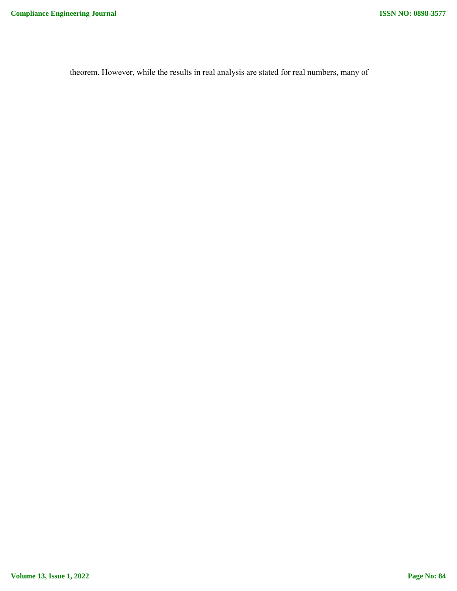theorem. However, while the results in real analysis are stated for real numbers, many of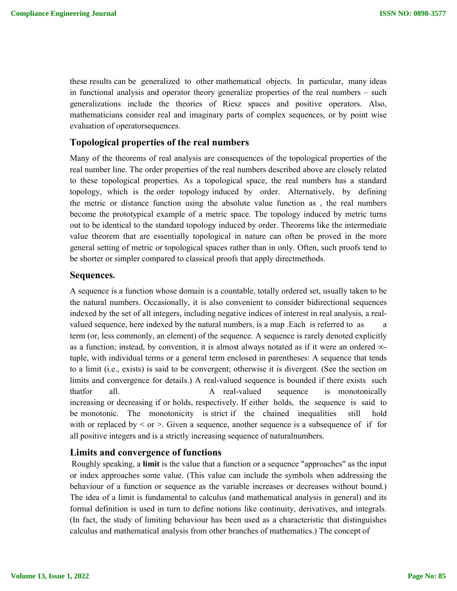these results can be generalized to other mathematical objects. In particular, many ideas in functional analysis and operator theory generalize properties of the real numbers – such generalizations include the theories of Riesz spaces and positive operators. Also, mathematicians consider real and imaginary parts of complex sequences, or by point wise evaluation of operatorsequences.

# **Topological properties of the real numbers**

Many of the theorems of real analysis are consequences of the topological properties of the real number line. The order properties of the real numbers described above are closely related to these topological properties. As a topological space, the real numbers has a standard topology, which is the order topology induced by order. Alternatively, by defining the metric or distance function using the absolute value function as , the real numbers become the prototypical example of a metric space. The topology induced by metric turns out to be identical to the standard topology induced by order. Theorems like the intermediate value theorem that are essentially topological in nature can often be proved in the more general setting of metric or topological spaces rather than in only. Often, such proofs tend to be shorter or simpler compared to classical proofs that apply directmethods.

# **Sequences.**

A sequence is a function whose domain is a countable, totally ordered set, usually taken to be the natural numbers. Occasionally, it is also convenient to consider bidirectional sequences indexed by the set of all integers, including negative indices of interest in real analysis, a realvalued sequence, here indexed by the natural numbers, is a map .Each is referred to as term (or, less commonly, an element) of the sequence. A sequence is rarely denoted explicitly as a function; instead, by convention, it is almost always notated as if it were an ordered ∞ tuple, with individual terms or a general term enclosed in parentheses: A sequence that tends to a limit (i.e., exists) is said to be convergent; otherwise it is divergent. (See the section on limits and convergence for details.) A real-valued sequence is bounded if there exists such thatfor all. A real-valued sequence is monotonically increasing or decreasing if or holds, respectively. If either holds, the sequence is said to be monotonic. The monotonicity is strict if the chained inequalities still hold with or replaced by  $\leq$  or  $\geq$ . Given a sequence, another sequence is a subsequence of if for all positive integers and is a strictly increasing sequence of naturalnumbers.

# **Limits and convergence of functions**

Roughly speaking, a **limit** is the value that a function or a sequence "approaches" as the input or index approaches some value. (This value can include the symbols when addressing the behaviour of a function or sequence as the variable increases or decreases without bound.) The idea of a limit is fundamental to calculus (and mathematical analysis in general) and its formal definition is used in turn to define notions like continuity, derivatives, and integrals. (In fact, the study of limiting behaviour has been used as a characteristic that distinguishes calculus and mathematical analysis from other branches of mathematics.) The concept of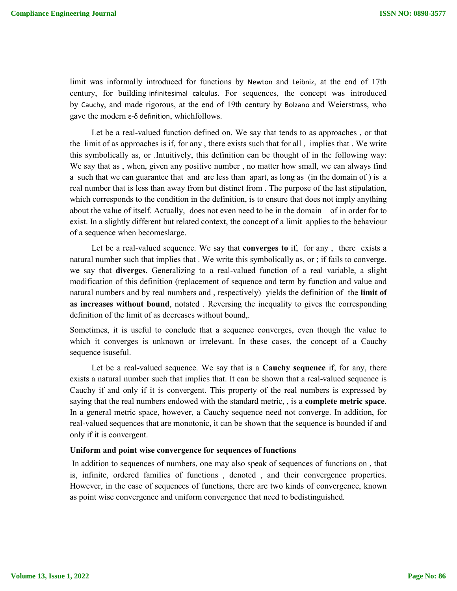limit was informally introduced for functions by Newton and Leibniz, at the end of 17th century, for building infinitesimal calculus. For sequences, the concept was introduced by Cauchy, and made rigorous, at the end of 19th century by Bolzano and Weierstrass, who gave the modern ε-δ definition, whichfollows.

Let be a real-valued function defined on. We say that tends to as approaches , or that the limit of as approaches is if, for any , there exists such that for all , implies that . We write this symbolically as, or .Intuitively, this definition can be thought of in the following way: We say that as , when, given any positive number , no matter how small, we can always find a such that we can guarantee that and are less than apart, as long as (in the domain of ) is a real number that is less than away from but distinct from . The purpose of the last stipulation, which corresponds to the condition in the definition, is to ensure that does not imply anything about the value of itself. Actually, does not even need to be in the domain of in order for to exist. In a slightly different but related context, the concept of a limit applies to the behaviour of a sequence when becomeslarge.

Let be a real-valued sequence. We say that **converges to** if, for any , there exists a natural number such that implies that . We write this symbolically as, or ; if fails to converge, we say that **diverges**. Generalizing to a real-valued function of a real variable, a slight modification of this definition (replacement of sequence and term by function and value and natural numbers and by real numbers and , respectively) yields the definition of the **limit of as increases without bound**, notated . Reversing the inequality to gives the corresponding definition of the limit of as decreases without bound,.

Sometimes, it is useful to conclude that a sequence converges, even though the value to which it converges is unknown or irrelevant. In these cases, the concept of a Cauchy sequence isuseful.

Let be a real-valued sequence. We say that is a **Cauchy sequence** if, for any, there exists a natural number such that implies that. It can be shown that a real-valued sequence is Cauchy if and only if it is convergent. This property of the real numbers is expressed by saying that the real numbers endowed with the standard metric, , is a **complete metric space**. In a general metric space, however, a Cauchy sequence need not converge. In addition, for real-valued sequences that are monotonic, it can be shown that the sequence is bounded if and only if it is convergent.

### **Uniform and point wise convergence for sequences of functions**

In addition to sequences of numbers, one may also speak of sequences of functions on , that is, infinite, ordered families of functions , denoted , and their convergence properties. However, in the case of sequences of functions, there are two kinds of convergence, known as point wise convergence and uniform convergence that need to bedistinguished.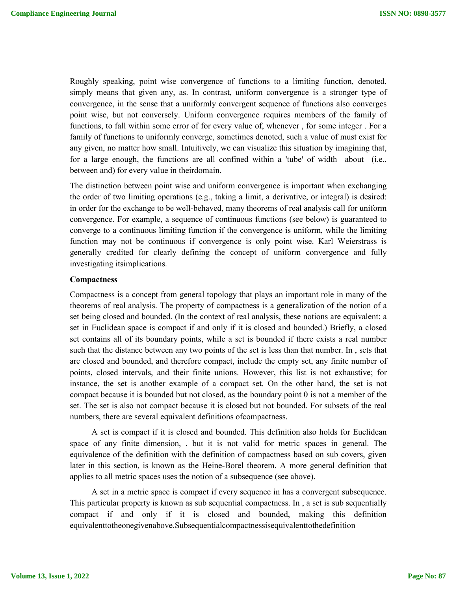Roughly speaking, point wise convergence of functions to a limiting function, denoted, simply means that given any, as. In contrast, uniform convergence is a stronger type of convergence, in the sense that a uniformly convergent sequence of functions also converges point wise, but not conversely. Uniform convergence requires members of the family of functions, to fall within some error of for every value of, whenever , for some integer . For a family of functions to uniformly converge, sometimes denoted, such a value of must exist for any given, no matter how small. Intuitively, we can visualize this situation by imagining that, for a large enough, the functions are all confined within a 'tube' of width about (i.e., between and) for every value in theirdomain.

The distinction between point wise and uniform convergence is important when exchanging the order of two limiting operations (e.g., taking a limit, a derivative, or integral) is desired: in order for the exchange to be well-behaved, many theorems of real analysis call for uniform convergence. For example, a sequence of continuous functions (see below) is guaranteed to converge to a continuous limiting function if the convergence is uniform, while the limiting function may not be continuous if convergence is only point wise. Karl Weierstrass is generally credited for clearly defining the concept of uniform convergence and fully investigating itsimplications.

### **Compactness**

Compactness is a concept from general topology that plays an important role in many of the theorems of real analysis. The property of compactness is a generalization of the notion of a set being closed and bounded. (In the context of real analysis, these notions are equivalent: a set in Euclidean space is compact if and only if it is closed and bounded.) Briefly, a closed set contains all of its boundary points, while a set is bounded if there exists a real number such that the distance between any two points of the set is less than that number. In , sets that are closed and bounded, and therefore compact, include the empty set, any finite number of points, closed intervals, and their finite unions. However, this list is not exhaustive; for instance, the set is another example of a compact set. On the other hand, the set is not compact because it is bounded but not closed, as the boundary point 0 is not a member of the set. The set is also not compact because it is closed but not bounded. For subsets of the real numbers, there are several equivalent definitions ofcompactness.

A set is compact if it is closed and bounded. This definition also holds for Euclidean space of any finite dimension, , but it is not valid for metric spaces in general. The equivalence of the definition with the definition of compactness based on sub covers, given later in this section, is known as the Heine-Borel theorem. A more general definition that applies to all metric spaces uses the notion of a subsequence (see above).

A set in a metric space is compact if every sequence in has a convergent subsequence. This particular property is known as sub sequential compactness. In , a set is sub sequentially compact if and only if it is closed and bounded, making this definition equivalenttotheonegivenabove.Subsequentialcompactnessisequivalenttothedefinition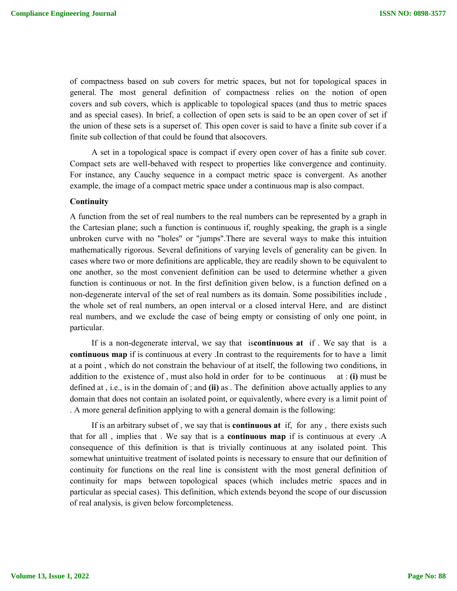of compactness based on sub covers for metric spaces, but not for topological spaces in general. The most general definition of compactness relies on the notion of open covers and sub covers, which is applicable to topological spaces (and thus to metric spaces and as special cases). In brief, a collection of open sets is said to be an open cover of set if the union of these sets is a superset of. This open cover is said to have a finite sub cover if a finite sub collection of that could be found that alsocovers.

A set in a topological space is compact if every open cover of has a finite sub cover. Compact sets are well-behaved with respect to properties like convergence and continuity. For instance, any Cauchy sequence in a compact metric space is convergent. As another example, the image of a compact metric space under a continuous map is also compact.

### **Continuity**

A function from the set of real numbers to the real numbers can be represented by a graph in the Cartesian plane; such a function is continuous if, roughly speaking, the graph is a single unbroken curve with no "holes" or "jumps".There are several ways to make this intuition mathematically rigorous. Several definitions of varying levels of generality can be given. In cases where two or more definitions are applicable, they are readily shown to be equivalent to one another, so the most convenient definition can be used to determine whether a given function is continuous or not. In the first definition given below, is a function defined on a non-degenerate interval of the set of real numbers as its domain. Some possibilities include , the whole set of real numbers, an open interval or a closed interval Here, and are distinct real numbers, and we exclude the case of being empty or consisting of only one point, in particular.

If is a non-degenerate interval, we say that is**continuous at** if . We say that is a **continuous map** if is continuous at every .In contrast to the requirements for to have a limit at a point , which do not constrain the behaviour of at itself, the following two conditions, in addition to the existence of , must also hold in order for to be continuous at : **(i)** must be defined at , i.e., is in the domain of ; and **(ii)** as . The definition above actually applies to any domain that does not contain an isolated point, or equivalently, where every is a limit point of . A more general definition applying to with a general domain is the following:

If is an arbitrary subset of , we say that is **continuous at** if, for any , there exists such that for all , implies that . We say that is a **continuous map** if is continuous at every .A consequence of this definition is that is trivially continuous at any isolated point. This somewhat unintuitive treatment of isolated points is necessary to ensure that our definition of continuity for functions on the real line is consistent with the most general definition of continuity for maps between topological spaces (which includes metric spaces and in particular as special cases). This definition, which extends beyond the scope of our discussion of real analysis, is given below forcompleteness.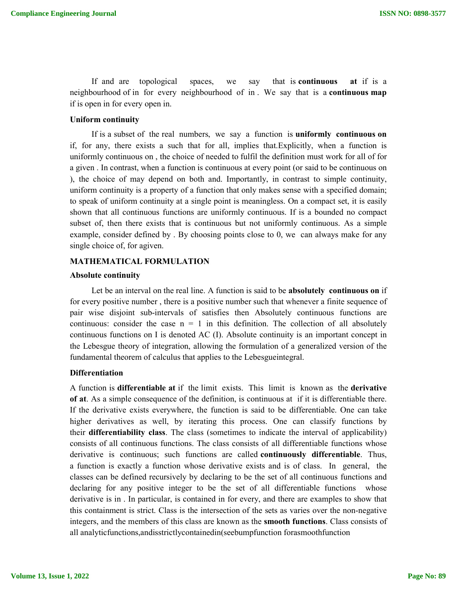If and are topological spaces, we say that is **continuous at** if is a neighbourhood of in for every neighbourhood of in . We say that is a **continuous map**  if is open in for every open in.

## **Uniform continuity**

If is a subset of the real numbers, we say a function is **uniformly continuous on**  if, for any, there exists a such that for all, implies that.Explicitly, when a function is uniformly continuous on , the choice of needed to fulfil the definition must work for all of for a given . In contrast, when a function is continuous at every point (or said to be continuous on ), the choice of may depend on both and. Importantly, in contrast to simple continuity, uniform continuity is a property of a function that only makes sense with a specified domain; to speak of uniform continuity at a single point is meaningless. On a compact set, it is easily shown that all continuous functions are uniformly continuous. If is a bounded no compact subset of, then there exists that is continuous but not uniformly continuous. As a simple example, consider defined by . By choosing points close to 0, we can always make for any single choice of, for agiven.

### **MATHEMATICAL FORMULATION**

#### **Absolute continuity**

Let be an interval on the real line. A function is said to be **absolutely continuous on** if for every positive number , there is a positive number such that whenever a finite sequence of pair wise disjoint sub-intervals of satisfies then Absolutely continuous functions are continuous: consider the case  $n = 1$  in this definition. The collection of all absolutely continuous functions on I is denoted AC (I). Absolute continuity is an important concept in the Lebesgue theory of integration, allowing the formulation of a generalized version of the fundamental theorem of calculus that applies to the Lebesgueintegral.

# **Differentiation**

A function is **differentiable at** if the limit exists. This limit is known as the **derivative of at**. As a simple consequence of the definition, is continuous at if it is differentiable there. If the derivative exists everywhere, the function is said to be differentiable. One can take higher derivatives as well, by iterating this process. One can classify functions by their **differentiability class**. The class (sometimes to indicate the interval of applicability) consists of all continuous functions. The class consists of all differentiable functions whose derivative is continuous; such functions are called **continuously differentiable**. Thus, a function is exactly a function whose derivative exists and is of class. In general, the classes can be defined recursively by declaring to be the set of all continuous functions and declaring for any positive integer to be the set of all differentiable functions whose derivative is in . In particular, is contained in for every, and there are examples to show that this containment is strict. Class is the intersection of the sets as varies over the non-negative integers, and the members of this class are known as the **smooth functions**. Class consists of all analyticfunctions,andisstrictlycontainedin(seebumpfunction forasmoothfunction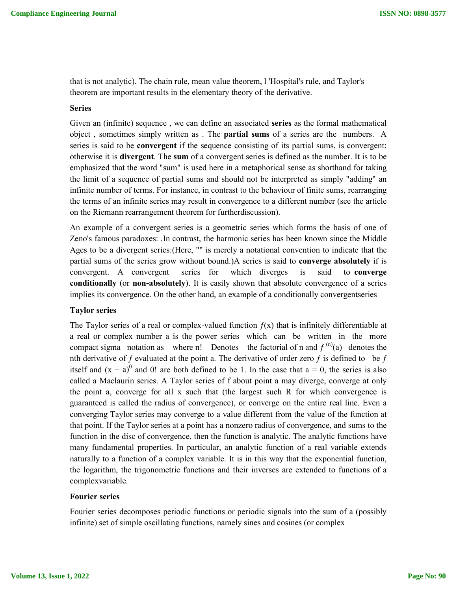that is not analytic). The chain rule, mean value theorem, l 'Hospital's rule, and Taylor's theorem are important results in the elementary theory of the derivative.

### **Series**

Given an (infinite) sequence , we can define an associated **series** as the formal mathematical object , sometimes simply written as . The **partial sums** of a series are the numbers. A series is said to be **convergent** if the sequence consisting of its partial sums, is convergent; otherwise it is **divergent**. The **sum** of a convergent series is defined as the number. It is to be emphasized that the word "sum" is used here in a metaphorical sense as shorthand for taking the limit of a sequence of partial sums and should not be interpreted as simply "adding" an infinite number of terms. For instance, in contrast to the behaviour of finite sums, rearranging the terms of an infinite series may result in convergence to a different number (see the article on the Riemann rearrangement theorem for furtherdiscussion).

An example of a convergent series is a geometric series which forms the basis of one of Zeno's famous paradoxes: .In contrast, the harmonic series has been known since the Middle Ages to be a divergent series:(Here, "" is merely a notational convention to indicate that the partial sums of the series grow without bound.)A series is said to **converge absolutely** if is convergent. A convergent series for which diverges is said to **converge conditionally** (or **non-absolutely**). It is easily shown that absolute convergence of a series implies its convergence. On the other hand, an example of a conditionally convergentseries

### **Taylor series**

The Taylor series of a real or complex-valued function  $f(x)$  that is infinitely differentiable at a real or complex number a is the power series which can be written in the more compact sigma notation as where n! Denotes the factorial of n and  $f^{(n)}(a)$  denotes the nth derivative of f evaluated at the point a. The derivative of order zero f is defined to be f itself and  $(x - a)^0$  and 0! are both defined to be 1. In the case that  $a = 0$ , the series is also called a Maclaurin series. A Taylor series of f about point a may diverge, converge at only the point a, converge for all x such that (the largest such R for which convergence is guaranteed is called the radius of convergence), or converge on the entire real line. Even a converging Taylor series may converge to a value different from the value of the function at that point. If the Taylor series at a point has a nonzero radius of convergence, and sums to the function in the disc of convergence, then the function is analytic. The analytic functions have many fundamental properties. In particular, an analytic function of a real variable extends naturally to a function of a complex variable. It is in this way that the exponential function, the logarithm, the trigonometric functions and their inverses are extended to functions of a complexvariable.

# **Fourier series**

Fourier series decomposes periodic functions or periodic signals into the sum of a (possibly infinite) set of simple oscillating functions, namely sines and cosines (or complex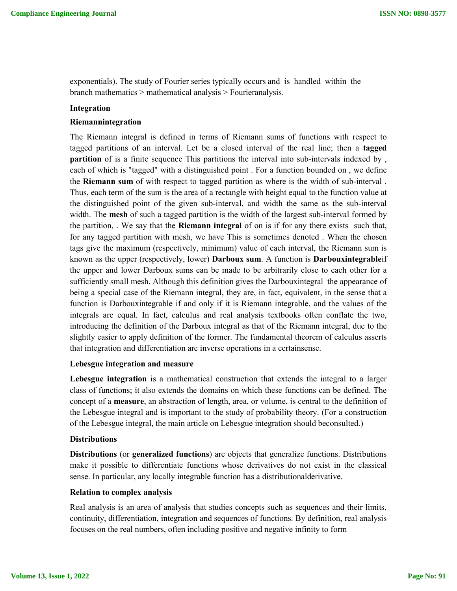exponentials). The study of Fourier series typically occurs and is handled within the branch mathematics > mathematical analysis > Fourieranalysis.

### **Integration**

### **Riemannintegration**

The Riemann integral is defined in terms of Riemann sums of functions with respect to tagged partitions of an interval. Let be a closed interval of the real line; then a **tagged partition** of is a finite sequence This partitions the interval into sub-intervals indexed by , each of which is "tagged" with a distinguished point . For a function bounded on , we define the **Riemann sum** of with respect to tagged partition as where is the width of sub-interval . Thus, each term of the sum is the area of a rectangle with height equal to the function value at the distinguished point of the given sub-interval, and width the same as the sub-interval width. The **mesh** of such a tagged partition is the width of the largest sub-interval formed by the partition, . We say that the **Riemann integral** of on is if for any there exists such that, for any tagged partition with mesh, we have This is sometimes denoted . When the chosen tags give the maximum (respectively, minimum) value of each interval, the Riemann sum is known as the upper (respectively, lower) **Darboux sum**. A function is **Darbouxintegrable**if the upper and lower Darboux sums can be made to be arbitrarily close to each other for a sufficiently small mesh. Although this definition gives the Darbouxintegral the appearance of being a special case of the Riemann integral, they are, in fact, equivalent, in the sense that a function is Darbouxintegrable if and only if it is Riemann integrable, and the values of the integrals are equal. In fact, calculus and real analysis textbooks often conflate the two, introducing the definition of the Darboux integral as that of the Riemann integral, due to the slightly easier to apply definition of the former. The fundamental theorem of calculus asserts that integration and differentiation are inverse operations in a certainsense.

### **Lebesgue integration and measure**

**Lebesgue integration** is a mathematical construction that extends the integral to a larger class of functions; it also extends the domains on which these functions can be defined. The concept of a **measure**, an abstraction of length, area, or volume, is central to the definition of the Lebesgue integral and is important to the study of probability theory. (For a construction of the Lebesgue integral, the main article on Lebesgue integration should beconsulted.)

# **Distributions**

**Distributions** (or **generalized functions**) are objects that generalize functions. Distributions make it possible to differentiate functions whose derivatives do not exist in the classical sense. In particular, any locally integrable function has a distributionalderivative.

### **Relation to complex analysis**

Real analysis is an area of analysis that studies concepts such as sequences and their limits, continuity, differentiation, integration and sequences of functions. By definition, real analysis focuses on the real numbers, often including positive and negative infinity to form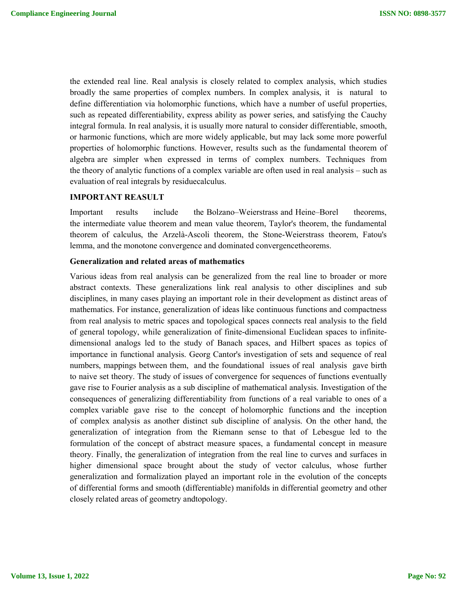the extended real line. Real analysis is closely related to complex analysis, which studies broadly the same properties of complex numbers. In complex analysis, it is natural to define differentiation via holomorphic functions, which have a number of useful properties, such as repeated differentiability, express ability as power series, and satisfying the Cauchy integral formula. In real analysis, it is usually more natural to consider differentiable, smooth, or harmonic functions, which are more widely applicable, but may lack some more powerful properties of holomorphic functions. However, results such as the fundamental theorem of algebra are simpler when expressed in terms of complex numbers. Techniques from the theory of analytic functions of a complex variable are often used in real analysis – such as evaluation of real integrals by residuecalculus.

# **IMPORTANT REASULT**

Important results include the Bolzano–Weierstrass and Heine–Borel theorems, the intermediate value theorem and mean value theorem, Taylor's theorem, the fundamental theorem of calculus, the Arzelà-Ascoli theorem, the Stone-Weierstrass theorem, Fatou's lemma, and the monotone convergence and dominated convergencetheorems.

### **Generalization and related areas of mathematics**

Various ideas from real analysis can be generalized from the real line to broader or more abstract contexts. These generalizations link real analysis to other disciplines and sub disciplines, in many cases playing an important role in their development as distinct areas of mathematics. For instance, generalization of ideas like continuous functions and compactness from real analysis to metric spaces and topological spaces connects real analysis to the field of general topology, while generalization of finite-dimensional Euclidean spaces to infinitedimensional analogs led to the study of Banach spaces, and Hilbert spaces as topics of importance in functional analysis. Georg Cantor's investigation of sets and sequence of real numbers, mappings between them, and the foundational issues of real analysis gave birth to naive set theory. The study of issues of convergence for sequences of functions eventually gave rise to Fourier analysis as a sub discipline of mathematical analysis. Investigation of the consequences of generalizing differentiability from functions of a real variable to ones of a complex variable gave rise to the concept of holomorphic functions and the inception of complex analysis as another distinct sub discipline of analysis. On the other hand, the generalization of integration from the Riemann sense to that of Lebesgue led to the formulation of the concept of abstract measure spaces, a fundamental concept in measure theory. Finally, the generalization of integration from the real line to curves and surfaces in higher dimensional space brought about the study of vector calculus, whose further generalization and formalization played an important role in the evolution of the concepts of differential forms and smooth (differentiable) manifolds in differential geometry and other closely related areas of geometry andtopology.